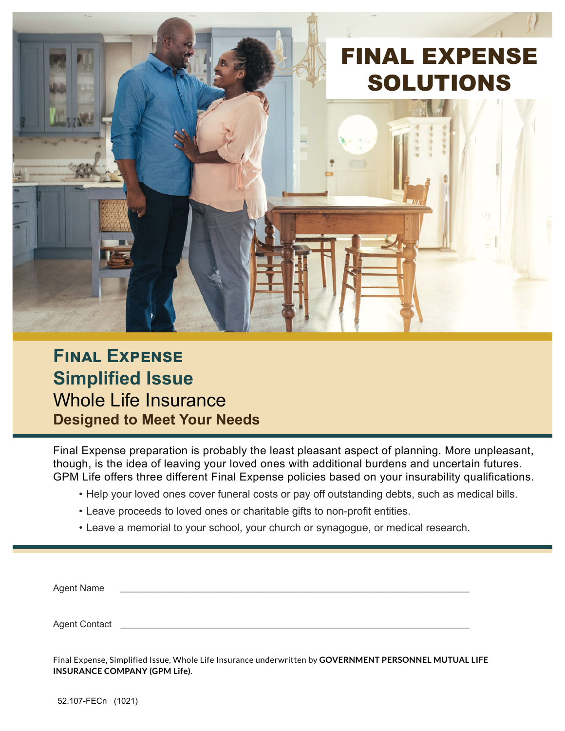

### $F$ **INAL EXPENSE Simplified Issue** Whole Life Insurance **Designed to Meet Your Needs**

Final Expense preparation is probably the least pleasant aspect of planning. More unpleasant, though, is the idea of leaving your loved ones with additional burdens and uncertain futures. GPM Life offers three different Final Expense policies based on your insurability qualifications.

- Help your loved ones cover funeral costs or pay off outstanding debts, such as medical bills.
- Leave proceeds to loved ones or charitable gifts to non-profit entities.
- Leave a memorial to your school, your church or synagogue, or medical research.

| Agent Name           |  |  |
|----------------------|--|--|
|                      |  |  |
| <b>Agent Contact</b> |  |  |

Final Expense, Simplified Issue, Whole Life Insurance underwritten by **GOVERNMENT PERSONNEL MUTUAL LIFE INSURANCE COMPANY (GPM Life)**.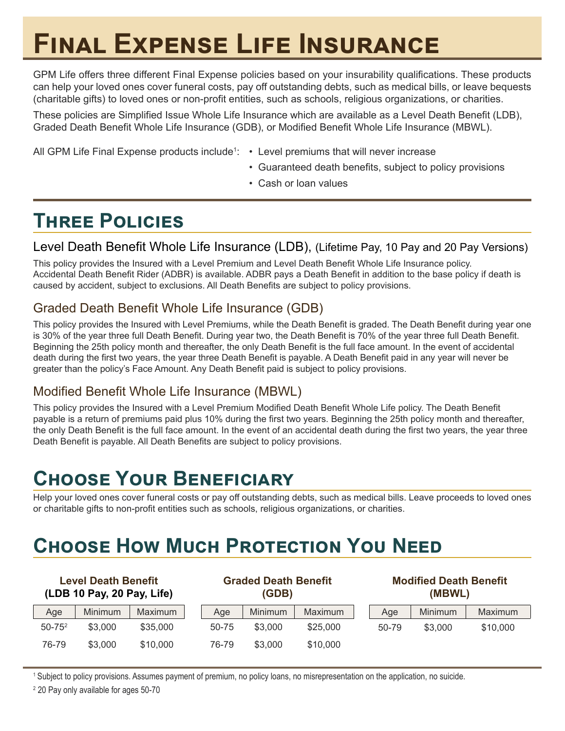# **EDBAL EXPENSE LIFE INSURANCE**

GPM Life offers three different Final Expense policies based on your insurability qualifications. These products can help your loved ones cover funeral costs, pay off outstanding debts, such as medical bills, or leave bequests (charitable gifts) to loved ones or non-profit entities, such as schools, religious organizations, or charities.

These policies are Simplified Issue Whole Life Insurance which are available as a Level Death Benefit (LDB), Graded Death Benefit Whole Life Insurance (GDB), or Modified Benefit Whole Life Insurance (MBWL).

All GPM Life Final Expense products include<sup>1</sup>: • Level premiums that will never increase

- Guaranteed death benefits, subject to policy provisions
- Cash or loan values

### **THREE POLICIES**

#### Level Death Benefit Whole Life Insurance (LDB), (Lifetime Pay, 10 Pay and 20 Pay Versions)

This policy provides the Insured with a Level Premium and Level Death Benefit Whole Life Insurance policy. Accidental Death Benefit Rider (ADBR) is available. ADBR pays a Death Benefit in addition to the base policy if death is caused by accident, subject to exclusions. All Death Benefits are subject to policy provisions.

### Graded Death Benefit Whole Life Insurance (GDB)

This policy provides the Insured with Level Premiums, while the Death Benefit is graded. The Death Benefit during year one is 30% of the year three full Death Benefit. During year two, the Death Benefit is 70% of the year three full Death Benefit. Beginning the 25th policy month and thereafter, the only Death Benefit is the full face amount. In the event of accidental death during the first two years, the year three Death Benefit is payable. A Death Benefit paid in any year will never be greater than the policy's Face Amount. Any Death Benefit paid is subject to policy provisions.

#### Modified Benefit Whole Life Insurance (MBWL)

This policy provides the Insured with a Level Premium Modified Death Benefit Whole Life policy. The Death Benefit payable is a return of premiums paid plus 10% during the first two years. Beginning the 25th policy month and thereafter, the only Death Benefit is the full face amount. In the event of an accidental death during the first two years, the year three Death Benefit is payable. All Death Benefits are subject to policy provisions.

## $CHOOSE$  YOUR BENEFICIARY

Help your loved ones cover funeral costs or pay off outstanding debts, such as medical bills. Leave proceeds to loved ones or charitable gifts to non-profit entities such as schools, religious organizations, or charities.

# $C$ **HOOSE HOW MUCH PROTECTION YOU NEED**

| <b>Level Death Benefit</b><br>(LDB 10 Pay, 20 Pay, Life) |         | <b>Graded Death Benefit</b><br>(GDB) |       |         | <b>Modified Death Benefit</b><br>(MBWL) |       |         |                |
|----------------------------------------------------------|---------|--------------------------------------|-------|---------|-----------------------------------------|-------|---------|----------------|
| Age                                                      | Minimum | Maximum                              | Age   | Minimum | Maximum                                 | Age   | Minimum | <b>Maximum</b> |
| $50 - 75^2$                                              | \$3,000 | \$35,000                             | 50-75 | \$3,000 | \$25,000                                | 50-79 | \$3,000 | \$10,000       |
| 76-79                                                    | \$3,000 | \$10,000                             | 76-79 | \$3,000 | \$10,000                                |       |         |                |

1 Subject to policy provisions. Assumes payment of premium, no policy loans, no misrepresentation on the application, no suicide.

2 20 Pay only available for ages 50-70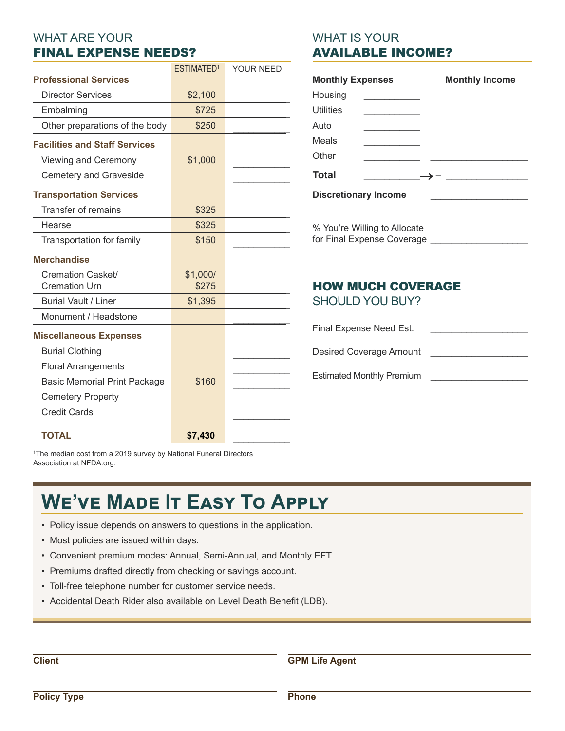#### WHAT ARE YOUR FINAL EXPENSE NEEDS?

|                                           | ESTIMATED <sup>1</sup> | YOUR NEED |
|-------------------------------------------|------------------------|-----------|
| <b>Professional Services</b>              |                        |           |
| <b>Director Services</b>                  | \$2,100                |           |
| Embalming                                 | \$725                  |           |
| Other preparations of the body            | \$250                  |           |
| <b>Facilities and Staff Services</b>      |                        |           |
| Viewing and Ceremony                      | \$1,000                |           |
| <b>Cemetery and Graveside</b>             |                        |           |
| <b>Transportation Services</b>            |                        |           |
| Transfer of remains                       | \$325                  |           |
| Hearse                                    | \$325                  |           |
| Transportation for family                 | \$150                  |           |
| <b>Merchandise</b>                        |                        |           |
| Cremation Casket/<br><b>Cremation Urn</b> | \$1,000/<br>\$275      |           |
| <b>Burial Vault / Liner</b>               | \$1,395                |           |
| Monument / Headstone                      |                        |           |
| <b>Miscellaneous Expenses</b>             |                        |           |
| <b>Burial Clothing</b>                    |                        |           |
| <b>Floral Arrangements</b>                |                        |           |
| <b>Basic Memorial Print Package</b>       | \$160                  |           |
| <b>Cemetery Property</b>                  |                        |           |
| <b>Credit Cards</b>                       |                        |           |
| <b>TOTAL</b>                              | \$7,430                |           |

#### WHAT IS YOUR AVAILABLE INCOME?

| <b>Monthly Expenses</b>     | <b>Monthly Income</b> |
|-----------------------------|-----------------------|
| Housing                     |                       |
| <b>Utilities</b>            |                       |
| Auto                        |                       |
| Meals                       |                       |
| Other                       |                       |
| <b>Total</b>                |                       |
| <b>Discretionary Income</b> |                       |
|                             |                       |
| 0/2/2                       |                       |

% You're Willing to Allocate for Final Expense Coverage

### HOW MUCH COVERAGE

SHOULD YOU BUY?

Final Expense Need Est. Desired Coverage Amount

Estimated Monthly Premium

1 The median cost from a 2019 survey by National Funeral Directors Association at NFDA.org.

## **WE'VE MADE IT EASY TO APPLY**

- Policy issue depends on answers to questions in the application.
- Most policies are issued within days.
- Convenient premium modes: Annual, Semi-Annual, and Monthly EFT.
- Premiums drafted directly from checking or savings account.
- Toll-free telephone number for customer service needs.
- Accidental Death Rider also available on Level Death Benefit (LDB).

**Client** 

**GPM Life Agent**

**Phone**